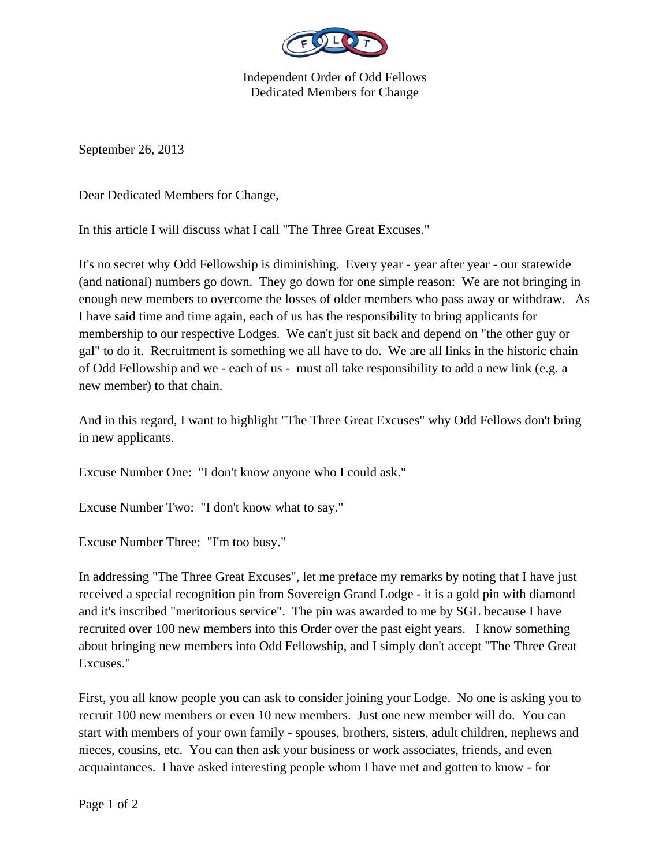

Independent Order of Odd Fellows Dedicated Members for Change

September 26, 2013

Dear Dedicated Members for Change,

In this article I will discuss what I call "The Three Great Excuses."

It's no secret why Odd Fellowship is diminishing. Every year - year after year - our statewide (and national) numbers go down. They go down for one simple reason: We are not bringing in enough new members to overcome the losses of older members who pass away or withdraw. As I have said time and time again, each of us has the responsibility to bring applicants for membership to our respective Lodges. We can't just sit back and depend on "the other guy or gal" to do it. Recruitment is something we all have to do. We are all links in the historic chain of Odd Fellowship and we - each of us - must all take responsibility to add a new link (e.g. a new member) to that chain.

And in this regard, I want to highlight "The Three Great Excuses" why Odd Fellows don't bring in new applicants.

Excuse Number One: "I don't know anyone who I could ask."

Excuse Number Two: "I don't know what to say."

Excuse Number Three: "I'm too busy."

In addressing "The Three Great Excuses", let me preface my remarks by noting that I have just received a special recognition pin from Sovereign Grand Lodge - it is a gold pin with diamond and it's inscribed "meritorious service". The pin was awarded to me by SGL because I have recruited over 100 new members into this Order over the past eight years. I know something about bringing new members into Odd Fellowship, and I simply don't accept "The Three Great Excuses."

First, you all know people you can ask to consider joining your Lodge. No one is asking you to recruit 100 new members or even 10 new members. Just one new member will do. You can start with members of your own family - spouses, brothers, sisters, adult children, nephews and nieces, cousins, etc. You can then ask your business or work associates, friends, and even acquaintances. I have asked interesting people whom I have met and gotten to know - for